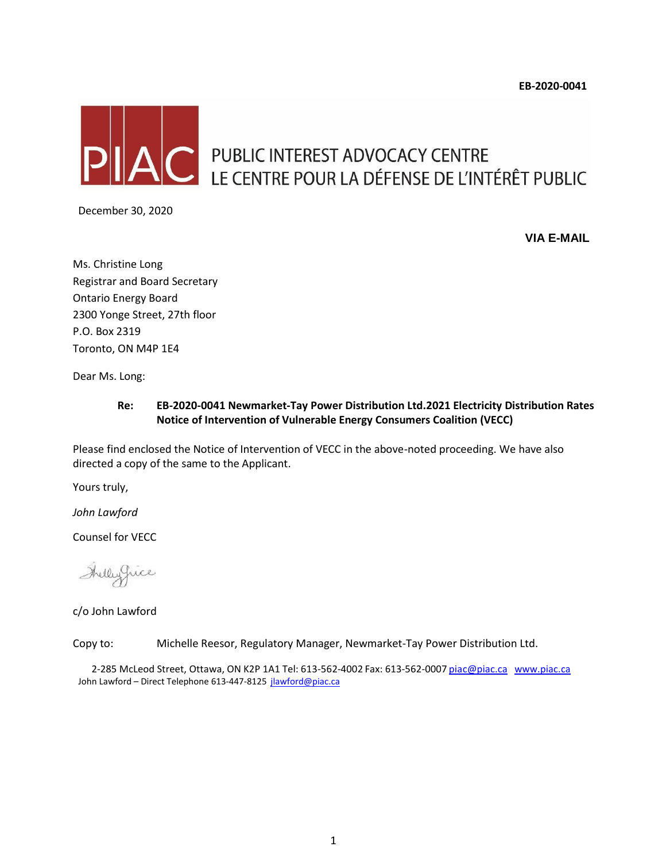**EB-2020-0041**



# PUBLIC INTEREST ADVOCACY CENTRE LE CENTRE POUR LA DÉFENSE DE L'INTÉRÊT PUBLIC

December 30, 2020

**VIA E-MAIL**

Ms. Christine Long Registrar and Board Secretary Ontario Energy Board 2300 Yonge Street, 27th floor P.O. Box 2319 Toronto, ON M4P 1E4

Dear Ms. Long:

# **Re: EB-2020-0041 Newmarket-Tay Power Distribution Ltd.2021 Electricity Distribution Rates Notice of Intervention of Vulnerable Energy Consumers Coalition (VECC)**

Please find enclosed the Notice of Intervention of VECC in the above-noted proceeding. We have also directed a copy of the same to the Applicant.

Yours truly,

*John Lawford*

Counsel for VECC

Inellyguice

c/o John Lawford

Copy to: Michelle Reesor, Regulatory Manager, Newmarket-Tay Power Distribution Ltd.

2-285 McLeod Street, Ottawa, ON K2P 1A1 Tel: 613-562-4002 Fax: 613-562-0007 [piac@piac.ca](mailto:piac@piac.ca) [www.piac.ca](http://www.piac.ca/) John Lawford – Direct Telephone 613-447-8125 [jlawford@piac.ca](mailto:jlawford@piac.ca)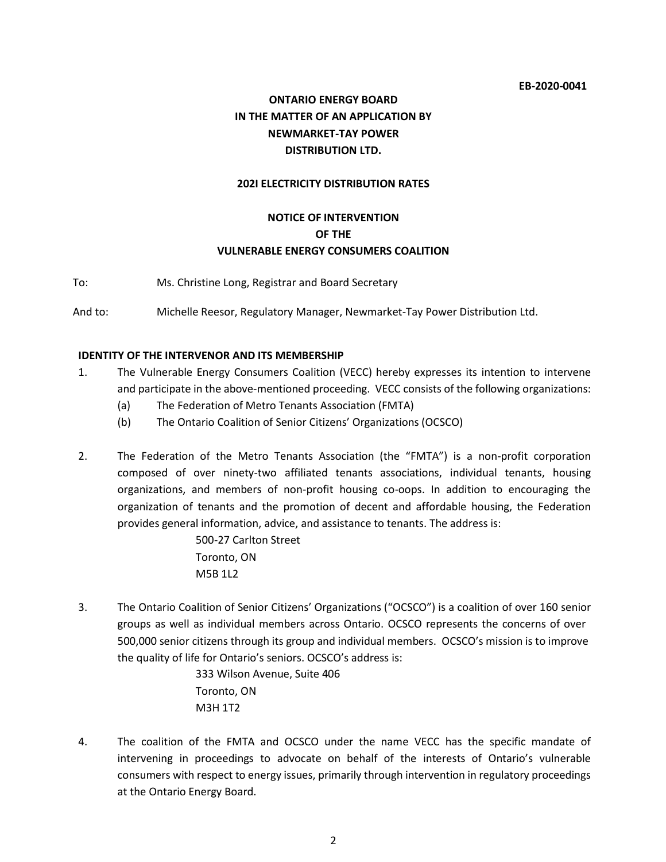# **ONTARIO ENERGY BOARD IN THE MATTER OF AN APPLICATION BY NEWMARKET-TAY POWER DISTRIBUTION LTD.**

#### **202I ELECTRICITY DISTRIBUTION RATES**

# **NOTICE OF INTERVENTION OF THE VULNERABLE ENERGY CONSUMERS COALITION**

To: Ms. Christine Long, Registrar and Board Secretary

And to: Michelle Reesor, Regulatory Manager, Newmarket-Tay Power Distribution Ltd.

## **IDENTITY OF THE INTERVENOR AND ITS MEMBERSHIP**

- 1. The Vulnerable Energy Consumers Coalition (VECC) hereby expresses its intention to intervene and participate in the above-mentioned proceeding. VECC consists of the following organizations:
	- (a) The Federation of Metro Tenants Association (FMTA)
	- (b) The Ontario Coalition of Senior Citizens' Organizations (OCSCO)
- 2. The Federation of the Metro Tenants Association (the "FMTA") is a non-profit corporation composed of over ninety-two affiliated tenants associations, individual tenants, housing organizations, and members of non-profit housing co-oops. In addition to encouraging the organization of tenants and the promotion of decent and affordable housing, the Federation provides general information, advice, and assistance to tenants. The address is:

500-27 Carlton Street Toronto, ON M5B 1L2

3. The Ontario Coalition of Senior Citizens' Organizations ("OCSCO") is a coalition of over 160 senior groups as well as individual members across Ontario. OCSCO represents the concerns of over 500,000 senior citizens through its group and individual members. OCSCO's mission is to improve the quality of life for Ontario's seniors. OCSCO's address is:

> 333 Wilson Avenue, Suite 406 Toronto, ON M3H 1T2

4. The coalition of the FMTA and OCSCO under the name VECC has the specific mandate of intervening in proceedings to advocate on behalf of the interests of Ontario's vulnerable consumers with respect to energy issues, primarily through intervention in regulatory proceedings at the Ontario Energy Board.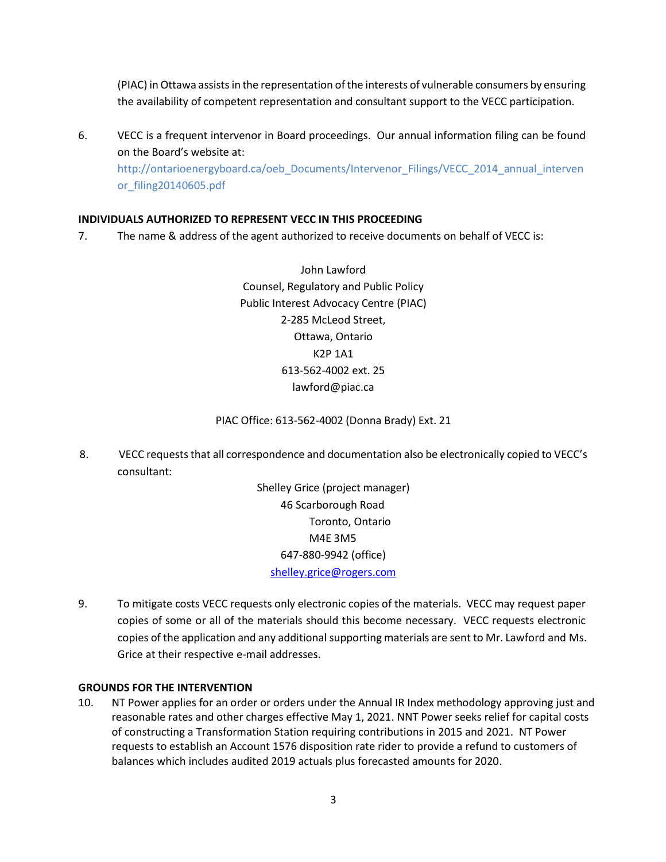(PIAC) in Ottawa assistsin the representation ofthe interests of vulnerable consumers by ensuring the availability of competent representation and consultant support to the VECC participation.

6. VECC is a frequent intervenor in Board proceedings. Our annual information filing can be found on the Board's website at:

[http://ontarioenergyboard.ca/oeb\\_Documents/Intervenor\\_Filings/VECC\\_2014\\_annual\\_interven](http://ontarioenergyboard.ca/oeb_Documents/Intervenor_Filings/VECC_2014_annual_interven) or\_filing20140605.pdf

# **INDIVIDUALS AUTHORIZED TO REPRESENT VECC IN THIS PROCEEDING**

7. The name & address of the agent authorized to receive documents on behalf of VECC is:

John Lawford Counsel, Regulatory and Public Policy Public Interest Advocacy Centre (PIAC) 2-285 McLeod Street, Ottawa, Ontario K2P 1A1 613-562-4002 ext. 2[5](mailto:lawford@piac.ca) [lawford@piac.ca](mailto:lawford@piac.ca)

PIAC Office: 613-562-4002 (Donna Brady) Ext. 21

8. VECC requeststhat all correspondence and documentation also be electronically copied to VECC's consultant:

> Shelley Grice (project manager) 46 Scarborough Road Toronto, Ontario M4E 3M5 647-880-9942 (office) [shelley.grice@rogers.com](mailto:shelley.grice@rogers.com)

9. To mitigate costs VECC requests only electronic copies of the materials. VECC may request paper copies of some or all of the materials should this become necessary. VECC requests electronic copies of the application and any additional supporting materials are sent to Mr. Lawford and Ms. Grice at their respective e-mail addresses.

## **GROUNDS FOR THE INTERVENTION**

10. NT Power applies for an order or orders under the Annual IR Index methodology approving just and reasonable rates and other charges effective May 1, 2021. NNT Power seeks relief for capital costs of constructing a Transformation Station requiring contributions in 2015 and 2021. NT Power requests to establish an Account 1576 disposition rate rider to provide a refund to customers of balances which includes audited 2019 actuals plus forecasted amounts for 2020.